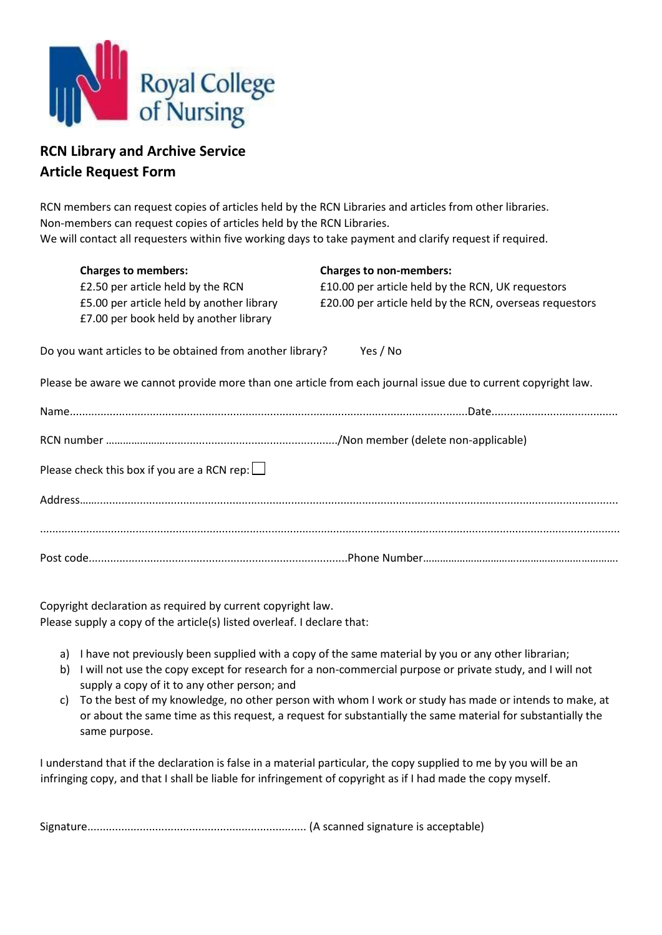

## **RCN Library and Archive Service Article Request Form**

RCN members can request copies of articles held by the RCN Libraries and articles from other libraries. Non-members can request copies of articles held by the RCN Libraries. We will contact all requesters within five working days to take payment and clarify request if required.

| <b>Charges to members:</b><br>£2.50 per article held by the RCN<br>£5.00 per article held by another library<br>£7.00 per book held by another library | <b>Charges to non-members:</b><br>£10.00 per article held by the RCN, UK requestors<br>£20.00 per article held by the RCN, overseas requestors |  |
|--------------------------------------------------------------------------------------------------------------------------------------------------------|------------------------------------------------------------------------------------------------------------------------------------------------|--|
| Do you want articles to be obtained from another library?<br>Yes / No                                                                                  |                                                                                                                                                |  |
| Please be aware we cannot provide more than one article from each journal issue due to current copyright law.                                          |                                                                                                                                                |  |
|                                                                                                                                                        |                                                                                                                                                |  |
|                                                                                                                                                        |                                                                                                                                                |  |
| Please check this box if you are a RCN rep: $\Box$                                                                                                     |                                                                                                                                                |  |
|                                                                                                                                                        |                                                                                                                                                |  |
|                                                                                                                                                        |                                                                                                                                                |  |
|                                                                                                                                                        |                                                                                                                                                |  |

Copyright declaration as required by current copyright law. Please supply a copy of the article(s) listed overleaf. I declare that:

- a) I have not previously been supplied with a copy of the same material by you or any other librarian;
- b) I will not use the copy except for research for a non-commercial purpose or private study, and I will not supply a copy of it to any other person; and
- c) To the best of my knowledge, no other person with whom I work or study has made or intends to make, at or about the same time as this request, a request for substantially the same material for substantially the same purpose.

I understand that if the declaration is false in a material particular, the copy supplied to me by you will be an infringing copy, and that I shall be liable for infringement of copyright as if I had made the copy myself.

Signature....................................................................... (A scanned signature is acceptable)